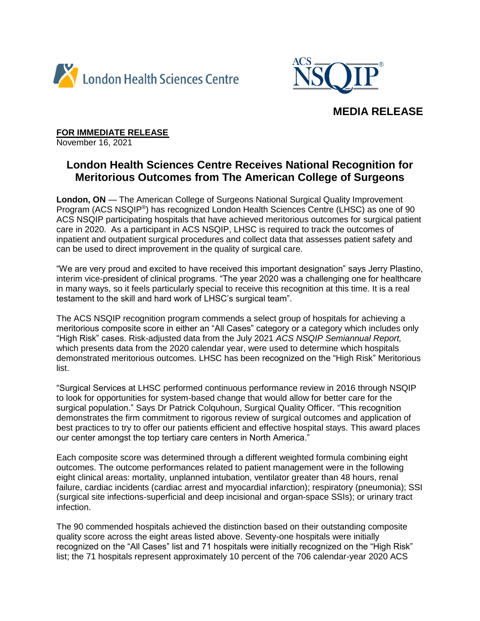



## **MEDIA RELEASE**

**FOR IMMEDIATE RELEASE**

November 16, 2021

# **London Health Sciences Centre Receives National Recognition for Meritorious Outcomes from The American College of Surgeons**

**London, ON** — The American College of Surgeons National Surgical Quality Improvement Program (ACS NSQIP®) has recognized London Health Sciences Centre (LHSC) as one of 90 ACS NSQIP participating hospitals that have achieved meritorious outcomes for surgical patient care in 2020. As a participant in ACS NSQIP, LHSC is required to track the outcomes of inpatient and outpatient surgical procedures and collect data that assesses patient safety and can be used to direct improvement in the quality of surgical care.

"We are very proud and excited to have received this important designation" says Jerry Plastino, interim vice-president of clinical programs. "The year 2020 was a challenging one for healthcare in many ways, so it feels particularly special to receive this recognition at this time. It is a real testament to the skill and hard work of LHSC's surgical team".

The ACS NSQIP recognition program commends a select group of hospitals for achieving a meritorious composite score in either an "All Cases" category or a category which includes only "High Risk" cases. Risk-adjusted data from the July 2021 *ACS NSQIP Semiannual Report,*  which presents data from the 2020 calendar year, were used to determine which hospitals demonstrated meritorious outcomes. LHSC has been recognized on the "High Risk" Meritorious list.

"Surgical Services at LHSC performed continuous performance review in 2016 through NSQIP to look for opportunities for system-based change that would allow for better care for the surgical population." Says Dr Patrick Colquhoun, Surgical Quality Officer. "This recognition demonstrates the firm commitment to rigorous review of surgical outcomes and application of best practices to try to offer our patients efficient and effective hospital stays. This award places our center amongst the top tertiary care centers in North America."

Each composite score was determined through a different weighted formula combining eight outcomes. The outcome performances related to patient management were in the following eight clinical areas: mortality, unplanned intubation, ventilator greater than 48 hours, renal failure, cardiac incidents (cardiac arrest and myocardial infarction); respiratory (pneumonia); SSI (surgical site infections-superficial and deep incisional and organ-space SSIs); or urinary tract infection.

The 90 commended hospitals achieved the distinction based on their outstanding composite quality score across the eight areas listed above. Seventy-one hospitals were initially recognized on the "All Cases" list and 71 hospitals were initially recognized on the "High Risk" list; the 71 hospitals represent approximately 10 percent of the 706 calendar-year 2020 ACS